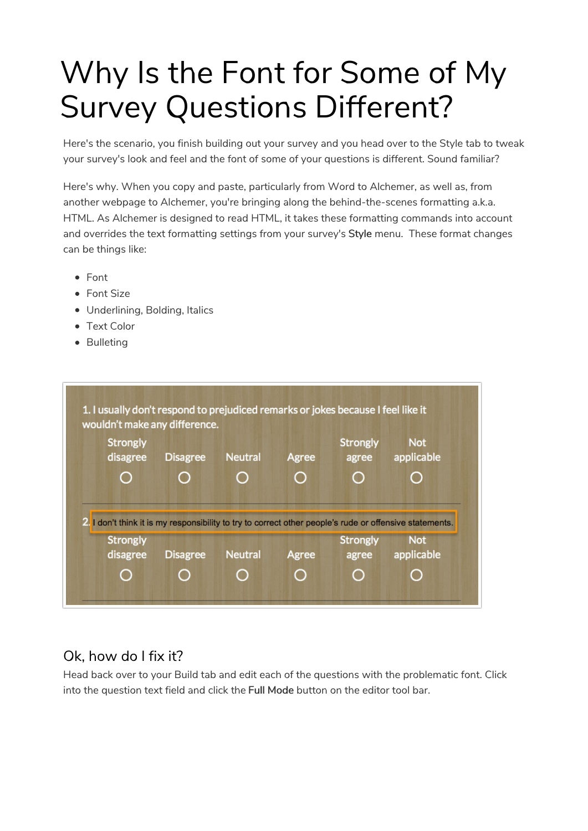## Why Is the Font for Some of My Survey Questions Different?

Here's the scenario, you finish building out your survey and you head over to the Style tab to tweak your survey's look and feel and the font of some of your questions is different. Sound familiar?

Here's why. When you copy and paste, particularly from Word to Alchemer, as well as, from another webpage to Alchemer, you're bringing along the behind-the-scenes formatting a.k.a. HTML. As Alchemer is designed to read HTML, it takes these formatting commands into account and overrides the text formatting settings from your survey's Style menu. These format changes can be things like:

- Font
- Font Size
- Underlining, Bolding, Italics
- Text Color
- Bulleting



## Ok, how do I fix it?

Head back over to your Build tab and edit each of the questions with the problematic font. Click into the question text field and click the Full Mode button on the editor tool bar.